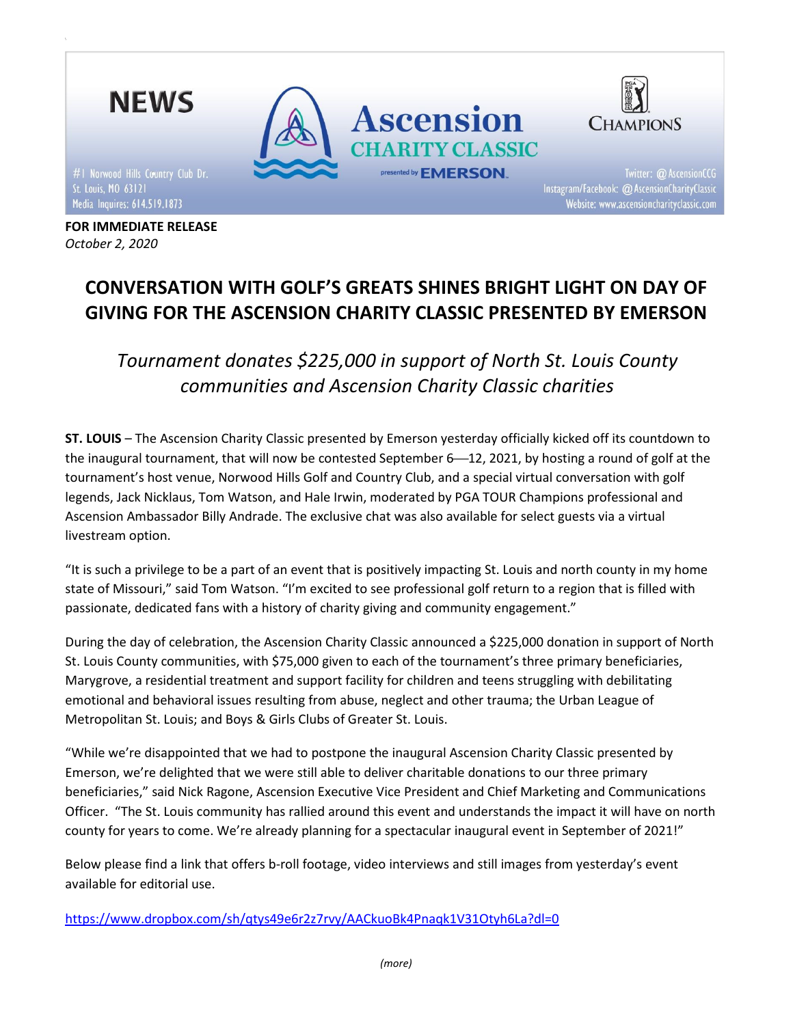

FOR IMMEDIATE RELEASE October 2, 2020

# CONVERSATION WITH GOLF'S GREATS SHINES BRIGHT LIGHT ON DAY OF GIVING FOR THE ASCENSION CHARITY CLASSIC PRESENTED BY EMERSON

Tournament donates \$225,000 in support of North St. Louis County communities and Ascension Charity Classic charities

ST. LOUIS – The Ascension Charity Classic presented by Emerson yesterday officially kicked off its countdown to the inaugural tournament, that will now be contested September 6-12, 2021, by hosting a round of golf at the tournament's host venue, Norwood Hills Golf and Country Club, and a special virtual conversation with golf legends, Jack Nicklaus, Tom Watson, and Hale Irwin, moderated by PGA TOUR Champions professional and Ascension Ambassador Billy Andrade. The exclusive chat was also available for select guests via a virtual livestream option.

"It is such a privilege to be a part of an event that is positively impacting St. Louis and north county in my home state of Missouri," said Tom Watson. "I'm excited to see professional golf return to a region that is filled with passionate, dedicated fans with a history of charity giving and community engagement."

During the day of celebration, the Ascension Charity Classic announced a \$225,000 donation in support of North St. Louis County communities, with \$75,000 given to each of the tournament's three primary beneficiaries, Marygrove, a residential treatment and support facility for children and teens struggling with debilitating emotional and behavioral issues resulting from abuse, neglect and other trauma; the Urban League of Metropolitan St. Louis; and Boys & Girls Clubs of Greater St. Louis.

"While we're disappointed that we had to postpone the inaugural Ascension Charity Classic presented by Emerson, we're delighted that we were still able to deliver charitable donations to our three primary beneficiaries," said Nick Ragone, Ascension Executive Vice President and Chief Marketing and Communications Officer. "The St. Louis community has rallied around this event and understands the impact it will have on north county for years to come. We're already planning for a spectacular inaugural event in September of 2021!"

Below please find a link that offers b-roll footage, video interviews and still images from yesterday's event available for editorial use.

https://www.dropbox.com/sh/qtys49e6r2z7rvy/AACkuoBk4Pnaqk1V31Otyh6La?dl=0